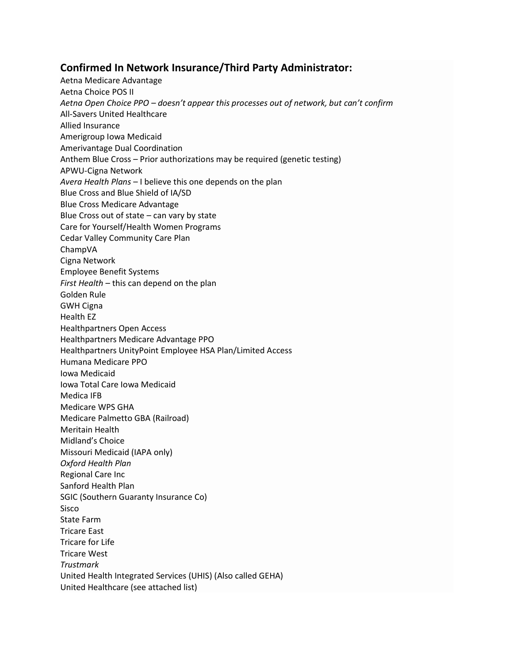## **Confirmed In Network Insurance/Third Party Administrator:**

Aetna Medicare Advantage Aetna Choice POS II *Aetna Open Choice PPO – doesn't appear this processes out of network, but can't confirm* All-Savers United Healthcare Allied Insurance Amerigroup Iowa Medicaid Amerivantage Dual Coordination Anthem Blue Cross – Prior authorizations may be required (genetic testing) APWU-Cigna Network *Avera Health Plans* – I believe this one depends on the plan Blue Cross and Blue Shield of IA/SD Blue Cross Medicare Advantage Blue Cross out of state – can vary by state Care for Yourself/Health Women Programs Cedar Valley Community Care Plan ChampVA Cigna Network Employee Benefit Systems *First Health* – this can depend on the plan Golden Rule GWH Cigna Health EZ Healthpartners Open Access Healthpartners Medicare Advantage PPO Healthpartners UnityPoint Employee HSA Plan/Limited Access Humana Medicare PPO Iowa Medicaid Iowa Total Care Iowa Medicaid Medica IFB Medicare WPS GHA Medicare Palmetto GBA (Railroad) Meritain Health Midland's Choice Missouri Medicaid (IAPA only) *Oxford Health Plan* Regional Care Inc Sanford Health Plan SGIC (Southern Guaranty Insurance Co) Sisco State Farm Tricare East Tricare for Life Tricare West *Trustmark* United Health Integrated Services (UHIS) (Also called GEHA) United Healthcare (see attached list)